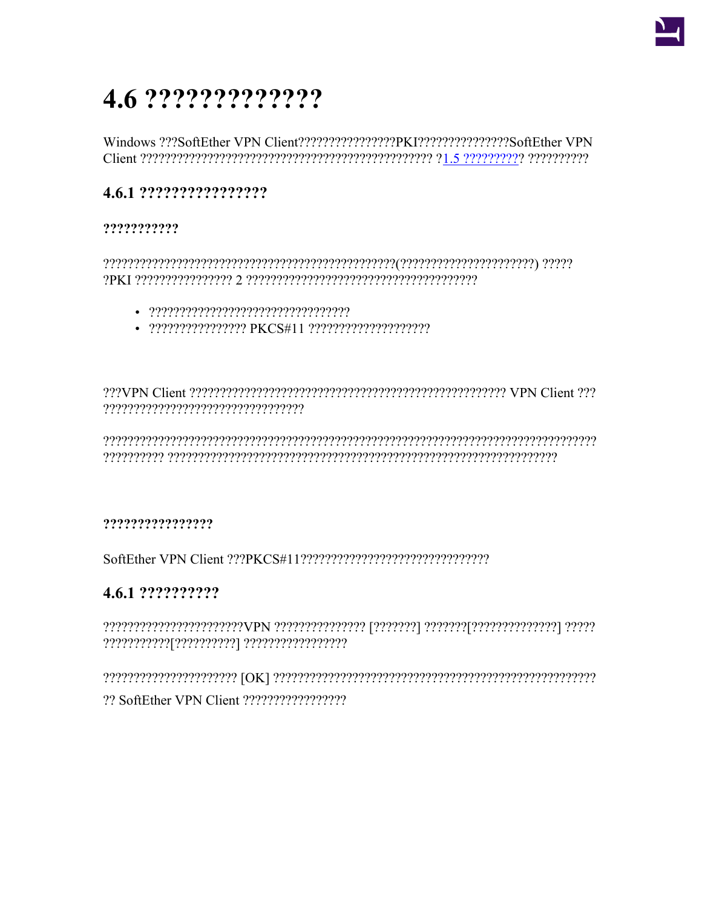# 4.6 ??????????????

Windows ???SoftEther VPN Client????????????????PKI????????????????SoftEther VPN 

## 4.6.1 ?????????????????

## ???????????

- 
- 

 ${\color{red}O}{\color{red}O}{\color{red}O}{\color{red}O}{\color{red}O}{\color{red}O}{\color{red}O}{\color{red}O}{\color{red}O}{\color{red}O}{\color{red}O}{\color{red}O}{\color{red}O}{\color{red}O}{\color{red}O}{\color{red}O}{\color{red}O}{\color{red}O}{\color{red}O}{\color{red}O}{\color{red}O}{\color{red}O}{\color{red}O}{\color{red}O}{\color{red}O}{\color{red}O}{\color{red}O}{\color{red}O}{\color{red}O}{\color{red}O}{\color{red}O}{\color{$ 

#### ????????????????

## 4.6.1 ???????????

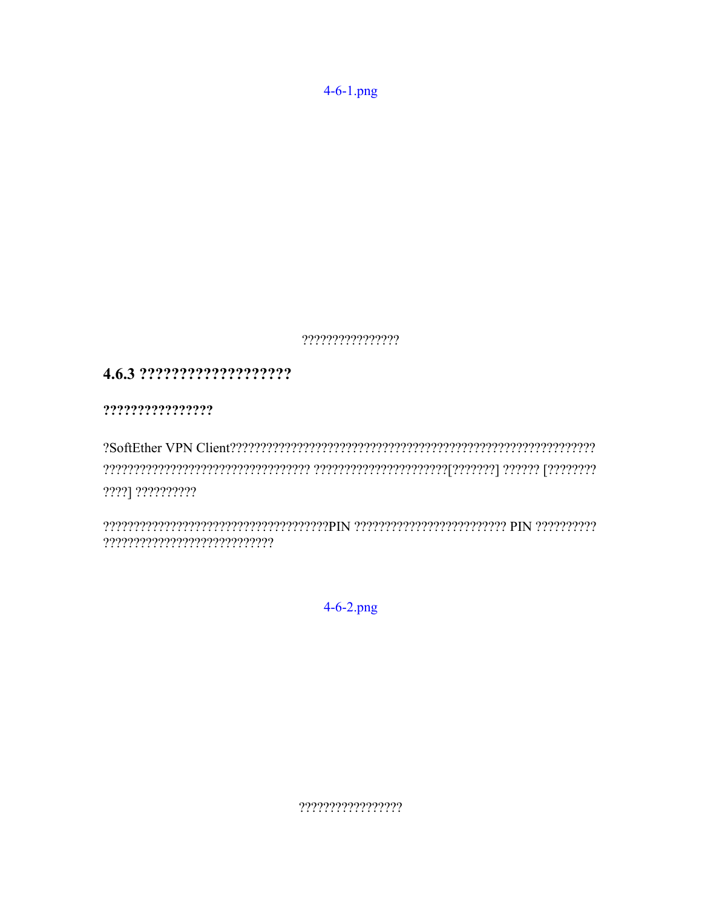$4 - 6 - 1$ .png

 $???????????????$ 

# 

?????????????????

????] ??????????

 $? ? ? ? ? ? ? ? ? ? ? ? ? ? ? ? ? ? ? ? ? ? ? ? ? ? ?$ 

 $4 - 6 - 2$ .png

 $????????????????$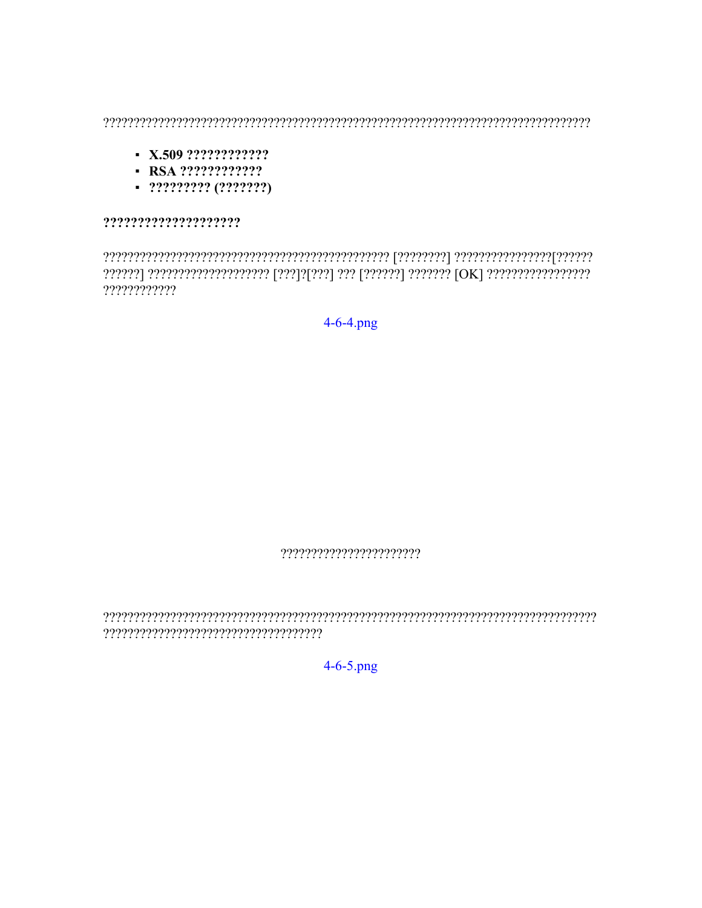- $\blacksquare$  X.509 ??????????????
- $-$  RSA ?????????????
- 

????????????????????

????????????

 $4 - 6 - 4$ .png

 $4 - 6 - 5$ .png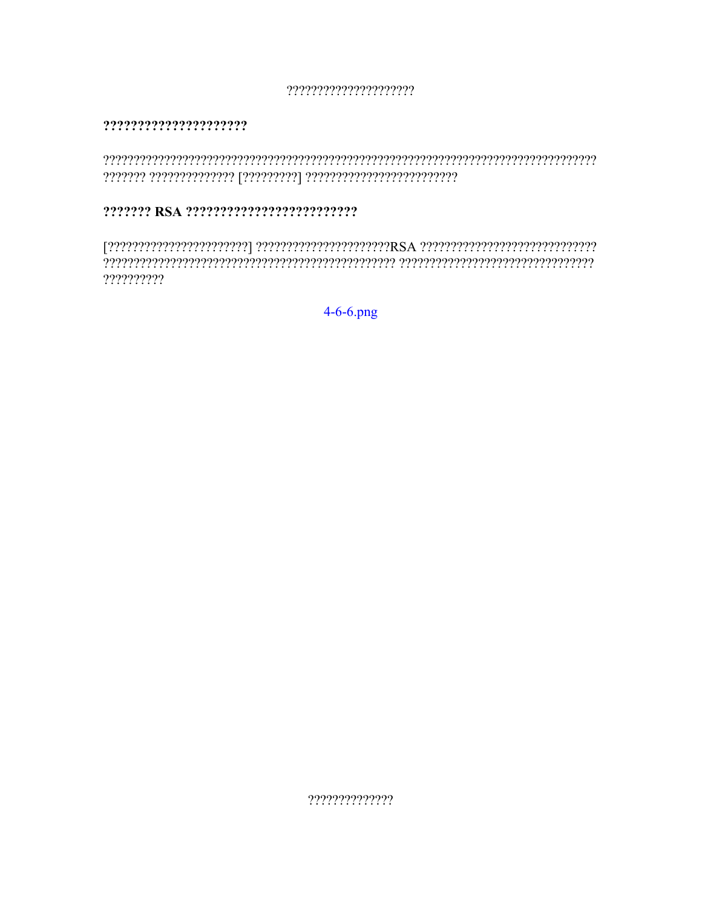?????????????????????

#### ??????????????????????

#### 

??????????

 $4 - 6 - 6$ .png

??????????????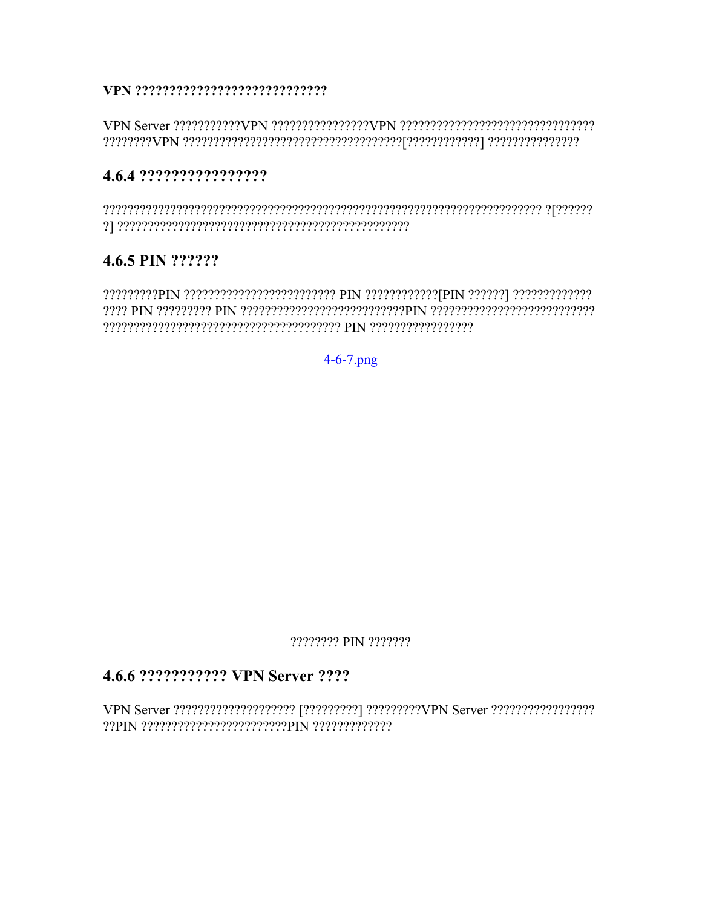#### 

## 4.6.4 ?????????????????

# 4.6.5 PIN ??????

 $[7]\textcolor{red}{?}\textcolor{blue}{?}\textcolor{blue}{?}\textcolor{blue}{?}\textcolor{blue}{?}\textcolor{blue}{?}\textcolor{blue}{?}\textcolor{blue}{?}\textcolor{blue}{?}\textcolor{blue}{?}\textcolor{blue}{?}\textcolor{blue}{?}\textcolor{blue}{?}\textcolor{blue}{?}\textcolor{blue}{?}\textcolor{blue}{?}\textcolor{blue}{?}\textcolor{blue}{?}\textcolor{blue}{?}\textcolor{blue}{?}\textcolor{blue}{?}\textcolor{blue}{?}\textcolor{blue}{?}\textcolor{blue}{?}\textcolor{blue}{?}\textcolor{blue}{?}\textcolor{blue}{?}\textcolor{blue}{?}\textcolor{blue}{?}\textcolor{blue}{?}\textcolor{blue}{?}\$ 

 $4 - 6 - 7$ .png

???????? PIN ???????

## 4.6.6 ???????????? VPN Server ????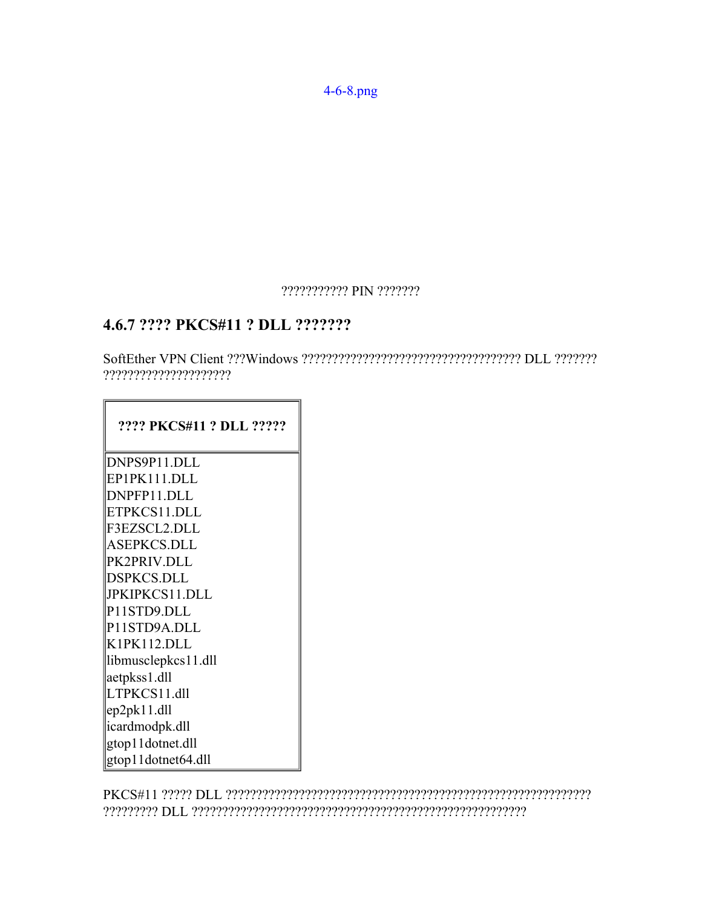[4-6-8.png](https://ja.softether.org/@api/deki/files/276/=4-6-8.png)

#### ??????????? PIN ???????

## **4.6.7 ???? PKCS#11 ? DLL ???????**

SoftEther VPN Client ???Windows ???????????????????????????????????? DLL ??????? ?????????????????????

#### **???? PKCS#11 ? DLL ?????**

DNPS9P11.DLL EP1PK111.DLL DNPFP11.DLL ETPKCS11.DLL F3EZSCL2.DLL ASEPKCS.DLL PK2PRIV.DLL DSPKCS.DLL JPKIPKCS11.DLL P11STD9.DLL P11STD9A.DLL K1PK112.DLL libmusclepkcs11.dll aetpkss1.dll LTPKCS11.dll ep2pk11.dll icardmodpk.dll gtop11dotnet.dll gtop11dotnet64.dll

PKCS#11 ????? DLL ???????????????????????????????????????????????????????????? ????????? DLL ???????????????????????????????????????????????????????